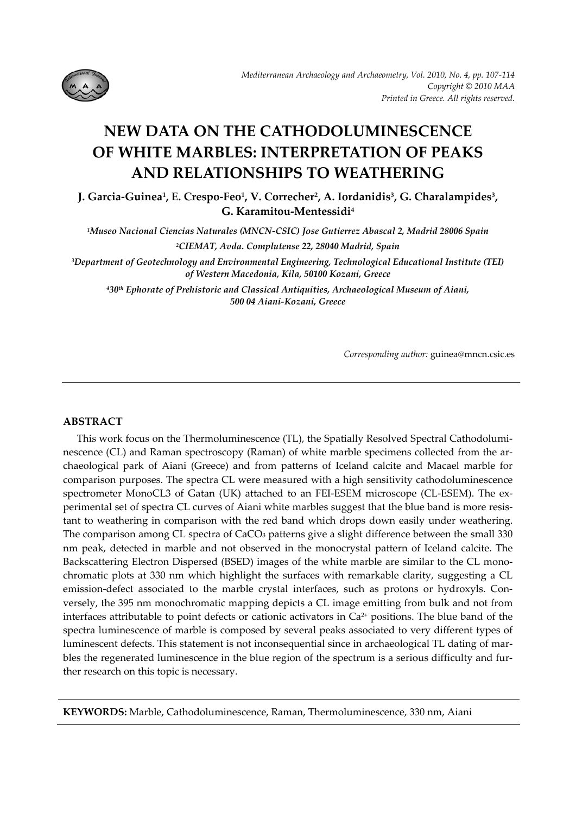

# **NEW DATA ON THE CATHODOLUMINESCENCE OF WHITE MARBLES: INTERPRETATION OF PEAKS AND RELATIONSHIPS TO WEATHERING**

**J. Garcia‐Guinea1, E. Crespo‐Feo1, V. Correcher2, A. Iordanidis3, G. Charalampides3, G. Karamitou‐Mentessidi4** 

*1Museo Nacional Ciencias Naturales (MNCN‐CSIC) Jose Gutierrez Abascal 2, Madrid 28006 Spain 2CIEMAT, Avda. Complutense 22, 28040 Madrid, Spain*

*3Department of Geotechnology and Environmental Engineering, Technological Educational Institute (TEI) of Western Macedonia, Kila, 50100 Kozani, Greece*

*430th Ephorate of Prehistoric and Classical Antiquities, Archaeological Museum of Aiani, 500 04 Aiani‐Kozani, Greece* 

*Corresponding author:* guinea@mncn.csic.es

# **ABSTRACT**

This work focus on the Thermoluminescence (TL), the Spatially Resolved Spectral Cathodolumi‐ nescence (CL) and Raman spectroscopy (Raman) of white marble specimens collected from the archaeological park of Aiani (Greece) and from patterns of Iceland calcite and Macael marble for comparison purposes. The spectra CL were measured with a high sensitivity cathodoluminescence spectrometer MonoCL3 of Gatan (UK) attached to an FEI-ESEM microscope (CL-ESEM). The experimental set of spectra CL curves of Aiani white marbles suggest that the blue band is more resis‐ tant to weathering in comparison with the red band which drops down easily under weathering. The comparison among CL spectra of CaCO<sub>3</sub> patterns give a slight difference between the small 330 nm peak, detected in marble and not observed in the monocrystal pattern of Iceland calcite. The Backscattering Electron Dispersed (BSED) images of the white marble are similar to the CL mono‐ chromatic plots at 330 nm which highlight the surfaces with remarkable clarity, suggesting a CL emission-defect associated to the marble crystal interfaces, such as protons or hydroxyls. Conversely, the 395 nm monochromatic mapping depicts a CL image emitting from bulk and not from interfaces attributable to point defects or cationic activators in  $Ca^{2+}$  positions. The blue band of the spectra luminescence of marble is composed by several peaks associated to very different types of luminescent defects. This statement is not inconsequential since in archaeological TL dating of mar‐ bles the regenerated luminescence in the blue region of the spectrum is a serious difficulty and further research on this topic is necessary.

**KEYWORDS:** Marble, Cathodoluminescence, Raman, Thermoluminescence, 330 nm, Aiani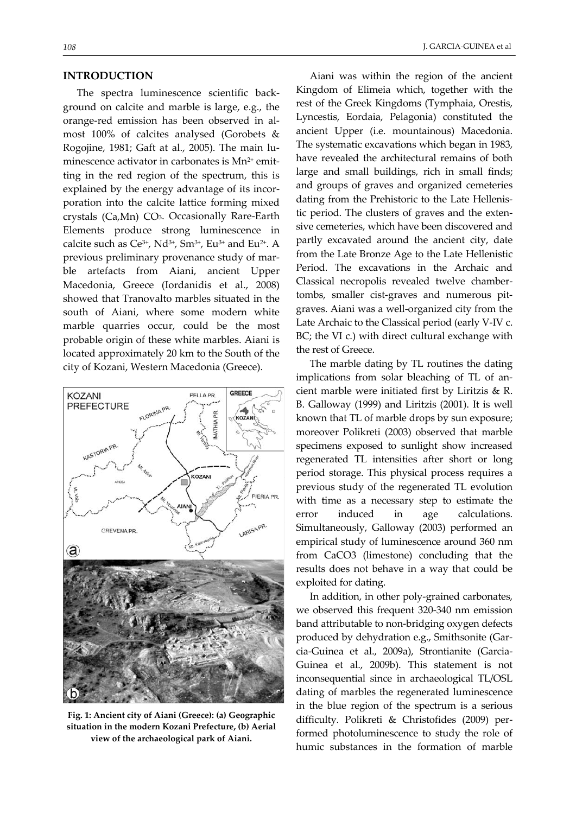#### **INTRODUCTION**

The spectra luminescence scientific back‐ ground on calcite and marble is large, e.g., the orange‐red emission has been observed in al‐ most 100% of calcites analysed (Gorobets & Rogojine, 1981; Gaft at al., 2005). The main lu‐ minescence activator in carbonates is  $Mn^{2+}$  emitting in the red region of the spectrum, this is explained by the energy advantage of its incorporation into the calcite lattice forming mixed crystals (Ca,Mn) CO3. Occasionally Rare‐Earth Elements produce strong luminescence in calcite such as  $Ce^{3+}$ , Nd<sup>3+</sup>, Sm<sup>3+</sup>, Eu<sup>3+</sup> and Eu<sup>2+</sup>. A previous preliminary provenance study of marble artefacts from Aiani, ancient Upper Macedonia, Greece (Iordanidis et al., 2008) showed that Tranovalto marbles situated in the south of Aiani, where some modern white marble quarries occur, could be the most probable origin of these white marbles. Aiani is located approximately 20 km to the South of the city of Kozani, Western Macedonia (Greece).



**Fig. 1: Ancient city of Aiani (Greece): (a) Geographic situation in the modern Kozani Prefecture, (b) Aerial view of the archaeological park of Aiani.**

Aiani was within the region of the ancient Kingdom of Elimeia which, together with the rest of the Greek Kingdoms (Tymphaia, Orestis, Lyncestis, Eordaia, Pelagonia) constituted the ancient Upper (i.e. mountainous) Macedonia. The systematic excavations which began in 1983, have revealed the architectural remains of both large and small buildings, rich in small finds; and groups of graves and organized cemeteries dating from the Prehistoric to the Late Hellenis‐ tic period. The clusters of graves and the exten‐ sive cemeteries, which have been discovered and partly excavated around the ancient city, date from the Late Bronze Age to the Late Hellenistic Period. The excavations in the Archaic and Classical necropolis revealed twelve chamber‐ tombs, smaller cist‐graves and numerous pit‐ graves. Aiani was a well‐organized city from the Late Archaic to the Classical period (early V‐IV c. BC; the VI c.) with direct cultural exchange with the rest of Greece.

The marble dating by TL routines the dating implications from solar bleaching of TL of ancient marble were initiated first by Liritzis & R. B. Galloway (1999) and Liritzis (2001). It is well known that TL of marble drops by sun exposure; moreover Polikreti (2003) observed that marble specimens exposed to sunlight show increased regenerated TL intensities after short or long period storage. This physical process requires a previous study of the regenerated TL evolution with time as a necessary step to estimate the error induced in age calculations. Simultaneously, Galloway (2003) performed an empirical study of luminescence around 360 nm from CaCO3 (limestone) concluding that the results does not behave in a way that could be exploited for dating.

In addition, in other poly‐grained carbonates, we observed this frequent 320‐340 nm emission band attributable to non‐bridging oxygen defects produced by dehydration e.g., Smithsonite (Gar‐ cia‐Guinea et al., 2009a), Strontianite (Garcia‐ Guinea et al., 2009b). This statement is not inconsequential since in archaeological TL/OSL dating of marbles the regenerated luminescence in the blue region of the spectrum is a serious difficulty. Polikreti & Christofides (2009) per‐ formed photoluminescence to study the role of humic substances in the formation of marble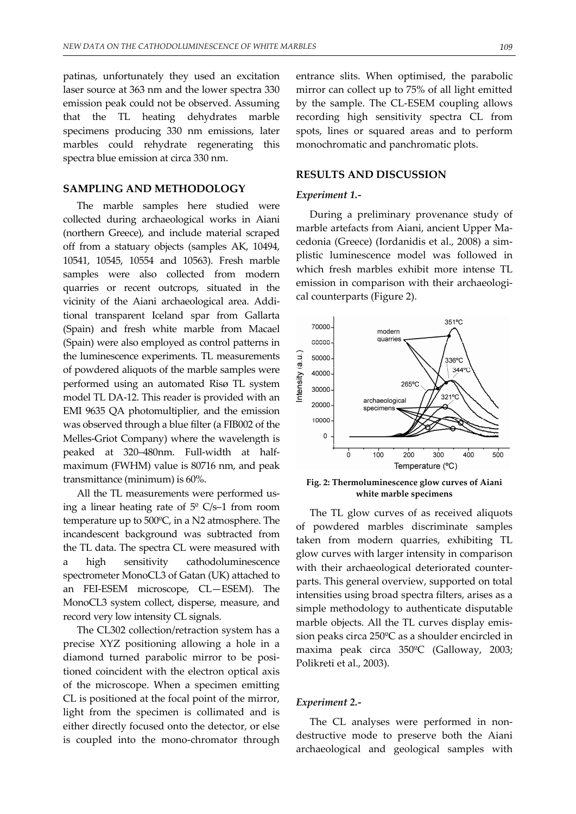patinas, unfortunately they used an excitation laser source at 363 nm and the lower spectra 330 emission peak could not be observed. Assuming that the TL heating dehydrates marble specimens producing 330 nm emissions, later marbles could rehydrate regenerating this spectra blue emission at circa 330 nm.

## **SAMPLING AND METHODOLOGY**

The marble samples here studied were collected during archaeological works in Aiani (northern Greece), and include material scraped off from a statuary objects (samples AK, 10494, 10541, 10545, 10554 and 10563). Fresh marble samples were also collected from modern quarries or recent outcrops, situated in the vicinity of the Aiani archaeological area. Addi‐ tional transparent Iceland spar from Gallarta (Spain) and fresh white marble from Macael (Spain) were also employed as control patterns in the luminescence experiments. TL measurements of powdered aliquots of the marble samples were performed using an automated Risø TL system model TL DA‐12. This reader is provided with an EMI 9635 QA photomultiplier, and the emission was observed through a blue filter (a FIB002 of the Melles‐Griot Company) where the wavelength is peaked at 320–480nm. Full‐width at half‐ maximum (FWHM) value is 80716 nm, and peak transmittance (minimum) is 60%.

All the TL measurements were performed us‐ ing a linear heating rate of  $5^{\circ}$  C/s–1 from room temperature up to 500ºC, in a N2 atmosphere. The incandescent background was subtracted from the TL data. The spectra CL were measured with a high sensitivity cathodoluminescence spectrometer MonoCL3 of Gatan (UK) attached to an FEI‐ESEM microscope, CL—ESEM). The MonoCL3 system collect, disperse, measure, and record very low intensity CL signals.

The CL302 collection/retraction system has a precise XYZ positioning allowing a hole in a diamond turned parabolic mirror to be posi‐ tioned coincident with the electron optical axis of the microscope. When a specimen emitting CL is positioned at the focal point of the mirror, light from the specimen is collimated and is either directly focused onto the detector, or else is coupled into the mono‐chromator through entrance slits. When optimised, the parabolic mirror can collect up to 75% of all light emitted by the sample. The CL‐ESEM coupling allows recording high sensitivity spectra CL from spots, lines or squared areas and to perform monochromatic and panchromatic plots.

#### **RESULTS AND DISCUSSION**

#### *Experiment 1.‐*

During a preliminary provenance study of marble artefacts from Aiani, ancient Upper Ma‐ cedonia (Greece) (Iordanidis et al., 2008) a sim‐ plistic luminescence model was followed in which fresh marbles exhibit more intense TL emission in comparison with their archaeological counterparts (Figure 2).



**Fig. 2: Thermoluminescence glow curves of Aiani white marble specimens**

The TL glow curves of as received aliquots of powdered marbles discriminate samples taken from modern quarries, exhibiting TL glow curves with larger intensity in comparison with their archaeological deteriorated counterparts. This general overview, supported on total intensities using broad spectra filters, arises as a simple methodology to authenticate disputable marble objects. All the TL curves display emis‐ sion peaks circa 250ºC as a shoulder encircled in maxima peak circa 350ºC (Galloway, 2003; Polikreti et al., 2003).

## *Experiment 2.‐*

The CL analyses were performed in nondestructive mode to preserve both the Aiani archaeological and geological samples with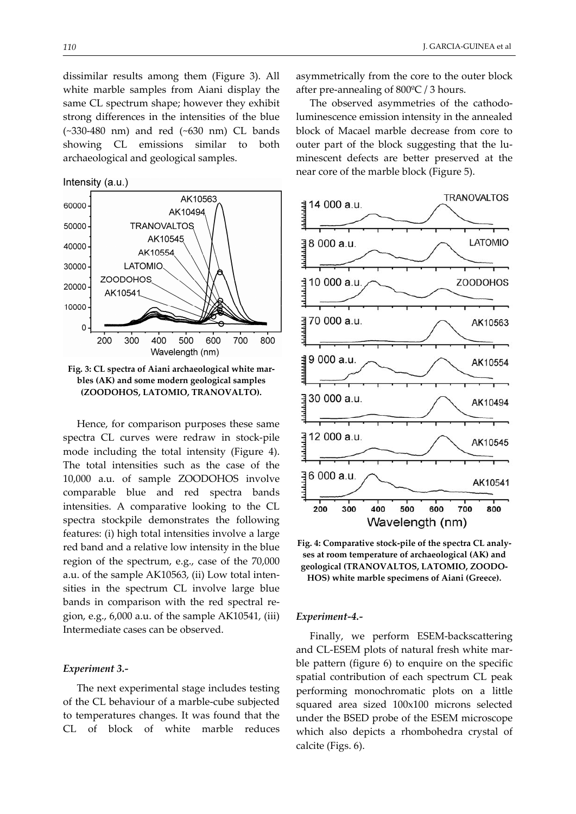dissimilar results among them (Figure 3). All white marble samples from Aiani display the same CL spectrum shape; however they exhibit strong differences in the intensities of the blue (~330‐480 nm) and red (~630 nm) CL bands showing CL emissions similar to both archaeological and geological samples.

Intensity (a.u.)



**Fig. 3: CL spectra of Aiani archaeological white mar‐ bles (AK) and some modern geological samples (ZOODOHOS, LATOMIO, TRANOVALTO).** 

Hence, for comparison purposes these same spectra CL curves were redraw in stock‐pile mode including the total intensity (Figure 4). The total intensities such as the case of the 10,000 a.u. of sample ZOODOHOS involve comparable blue and red spectra bands intensities. A comparative looking to the CL spectra stockpile demonstrates the following features: (i) high total intensities involve a large red band and a relative low intensity in the blue region of the spectrum, e.g., case of the 70,000 a.u. of the sample AK10563, (ii) Low total intensities in the spectrum CL involve large blue bands in comparison with the red spectral re‐ gion, e.g., 6,000 a.u. of the sample AK10541, (iii) Intermediate cases can be observed.

#### *Experiment 3.‐*

The next experimental stage includes testing of the CL behaviour of a marble‐cube subjected to temperatures changes. It was found that the CL of block of white marble reduces

asymmetrically from the core to the outer block after pre‐annealing of 800ºC / 3 hours.

The observed asymmetries of the cathodo‐ luminescence emission intensity in the annealed block of Macael marble decrease from core to outer part of the block suggesting that the luminescent defects are better preserved at the near core of the marble block (Figure 5).





#### *Experiment‐4.‐*

Finally, we perform ESEM‐backscattering and CL-ESEM plots of natural fresh white marble pattern (figure 6) to enquire on the specific spatial contribution of each spectrum CL peak performing monochromatic plots on a little squared area sized 100x100 microns selected under the BSED probe of the ESEM microscope which also depicts a rhombohedra crystal of calcite (Figs. 6).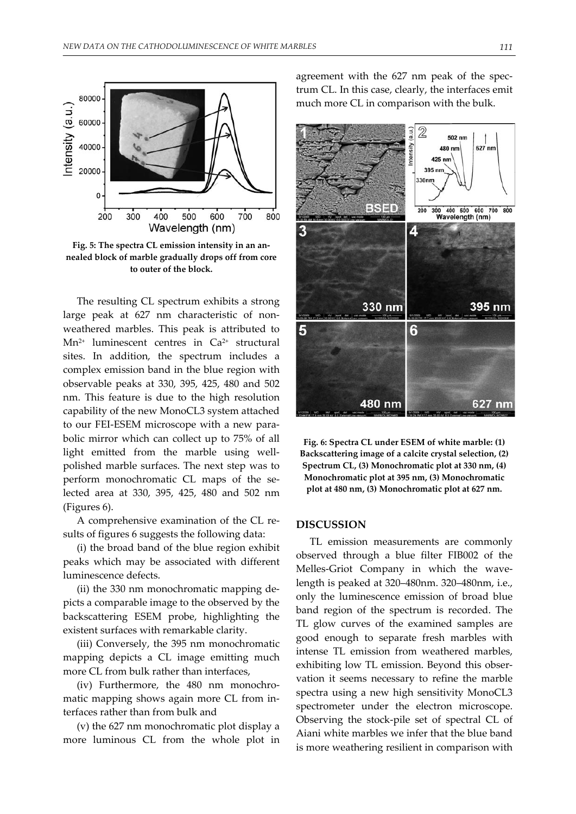

**Fig. 5: The spectra CL emission intensity in an an‐ nealed block of marble gradually drops off from core to outer of the block.**

The resulting CL spectrum exhibits a strong large peak at 627 nm characteristic of non‐ weathered marbles. This peak is attributed to Mn2+ luminescent centres in Ca2+ structural sites. In addition, the spectrum includes a complex emission band in the blue region with observable peaks at 330, 395, 425, 480 and 502 nm. This feature is due to the high resolution capability of the new MonoCL3 system attached to our FEI‐ESEM microscope with a new para‐ bolic mirror which can collect up to 75% of all light emitted from the marble using wellpolished marble surfaces. The next step was to perform monochromatic CL maps of the selected area at 330, 395, 425, 480 and 502 nm (Figures 6).

A comprehensive examination of the CL re‐ sults of figures 6 suggests the following data:

(i) the broad band of the blue region exhibit peaks which may be associated with different luminescence defects.

(ii) the 330 nm monochromatic mapping de‐ picts a comparable image to the observed by the backscattering ESEM probe, highlighting the existent surfaces with remarkable clarity.

(iii) Conversely, the 395 nm monochromatic mapping depicts a CL image emitting much more CL from bulk rather than interfaces,

(iv) Furthermore, the 480 nm monochro‐ matic mapping shows again more CL from in‐ terfaces rather than from bulk and

(v) the 627 nm monochromatic plot display a more luminous CL from the whole plot in agreement with the 627 nm peak of the spec‐ trum CL. In this case, clearly, the interfaces emit much more CL in comparison with the bulk.



**Fig. 6: Spectra CL under ESEM of white marble: (1) Backscattering image of a calcite crystal selection, (2) Spectrum CL, (3) Monochromatic plot at 330 nm, (4) Monochromatic plot at 395 nm, (3) Monochromatic plot at 480 nm, (3) Monochromatic plot at 627 nm.**

## **DISCUSSION**

TL emission measurements are commonly observed through a blue filter FIB002 of the Melles-Griot Company in which the wavelength is peaked at 320–480nm. 320–480nm, i.e., only the luminescence emission of broad blue band region of the spectrum is recorded. The TL glow curves of the examined samples are good enough to separate fresh marbles with intense TL emission from weathered marbles, exhibiting low TL emission. Beyond this obser‐ vation it seems necessary to refine the marble spectra using a new high sensitivity MonoCL3 spectrometer under the electron microscope. Observing the stock‐pile set of spectral CL of Aiani white marbles we infer that the blue band is more weathering resilient in comparison with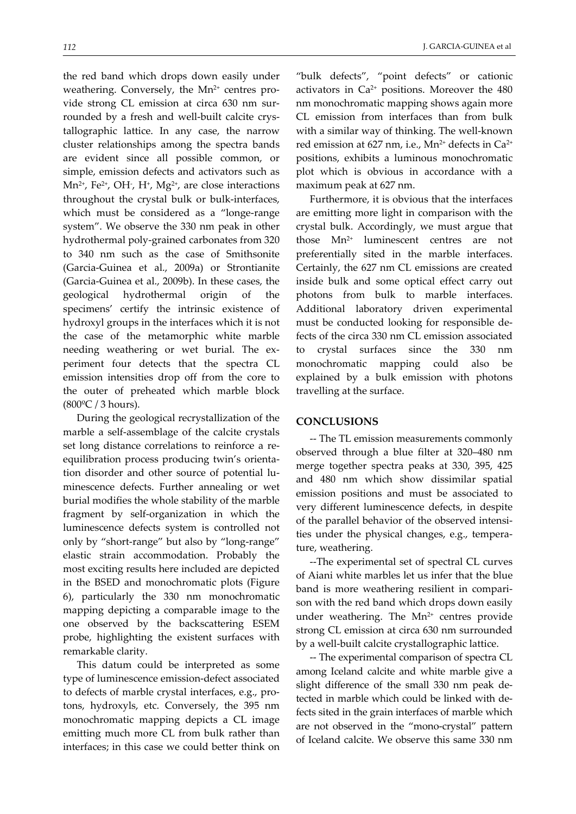the red band which drops down easily under weathering. Conversely, the Mn<sup>2+</sup> centres provide strong CL emission at circa 630 nm sur‐ rounded by a fresh and well‐built calcite crys‐ tallographic lattice. In any case, the narrow cluster relationships among the spectra bands are evident since all possible common, or simple, emission defects and activators such as Mn²+, Fe²+, OH-, H+, Mg²+, are close interactions throughout the crystal bulk or bulk‐interfaces, which must be considered as a "longe-range system". We observe the 330 nm peak in other hydrothermal poly‐grained carbonates from 320 to 340 nm such as the case of Smithsonite (Garcia‐Guinea et al., 2009a) or Strontianite (Garcia‐Guinea et al., 2009b). In these cases, the geological hydrothermal origin of the specimens' certify the intrinsic existence of hydroxyl groups in the interfaces which it is not the case of the metamorphic white marble needing weathering or wet burial. The experiment four detects that the spectra CL emission intensities drop off from the core to the outer of preheated which marble block  $(800\degree\text{C} / 3 \text{ hours}).$ 

During the geological recrystallization of the marble a self‐assemblage of the calcite crystals set long distance correlations to reinforce a reequilibration process producing twin's orienta‐ tion disorder and other source of potential lu‐ minescence defects. Further annealing or wet burial modifies the whole stability of the marble fragment by self‐organization in which the luminescence defects system is controlled not only by "short‐range" but also by "long‐range" elastic strain accommodation. Probably the most exciting results here included are depicted in the BSED and monochromatic plots (Figure 6), particularly the 330 nm monochromatic mapping depicting a comparable image to the one observed by the backscattering ESEM probe, highlighting the existent surfaces with remarkable clarity.

This datum could be interpreted as some type of luminescence emission‐defect associated to defects of marble crystal interfaces, e.g., pro‐ tons, hydroxyls, etc. Conversely, the 395 nm monochromatic mapping depicts a CL image emitting much more CL from bulk rather than interfaces; in this case we could better think on

"bulk defects", "point defects" or cationic activators in  $Ca^{2+}$  positions. Moreover the 480 nm monochromatic mapping shows again more CL emission from interfaces than from bulk with a similar way of thinking. The well‐known red emission at 627 nm, i.e., Mn<sup>2+</sup> defects in Ca<sup>2+</sup> positions, exhibits a luminous monochromatic plot which is obvious in accordance with a maximum peak at 627 nm.

Furthermore, it is obvious that the interfaces are emitting more light in comparison with the crystal bulk. Accordingly, we must argue that those  $Mn^{2+}$  luminescent centres are not preferentially sited in the marble interfaces. Certainly, the 627 nm CL emissions are created inside bulk and some optical effect carry out photons from bulk to marble interfaces. Additional laboratory driven experimental must be conducted looking for responsible de‐ fects of the circa 330 nm CL emission associated to crystal surfaces since the 330 nm monochromatic mapping could also be explained by a bulk emission with photons travelling at the surface.

### **CONCLUSIONS**

‐‐ The TL emission measurements commonly observed through a blue filter at 320–480 nm merge together spectra peaks at 330, 395, 425 and 480 nm which show dissimilar spatial emission positions and must be associated to very different luminescence defects, in despite of the parallel behavior of the observed intensi‐ ties under the physical changes, e.g., tempera‐ ture, weathering.

‐‐The experimental set of spectral CL curves of Aiani white marbles let us infer that the blue band is more weathering resilient in compari‐ son with the red band which drops down easily under weathering. The  $Mn^{2+}$  centres provide strong CL emission at circa 630 nm surrounded by a well‐built calcite crystallographic lattice.

‐‐ The experimental comparison of spectra CL among Iceland calcite and white marble give a slight difference of the small 330 nm peak de‐ tected in marble which could be linked with defects sited in the grain interfaces of marble which are not observed in the "mono‐crystal" pattern of Iceland calcite. We observe this same 330 nm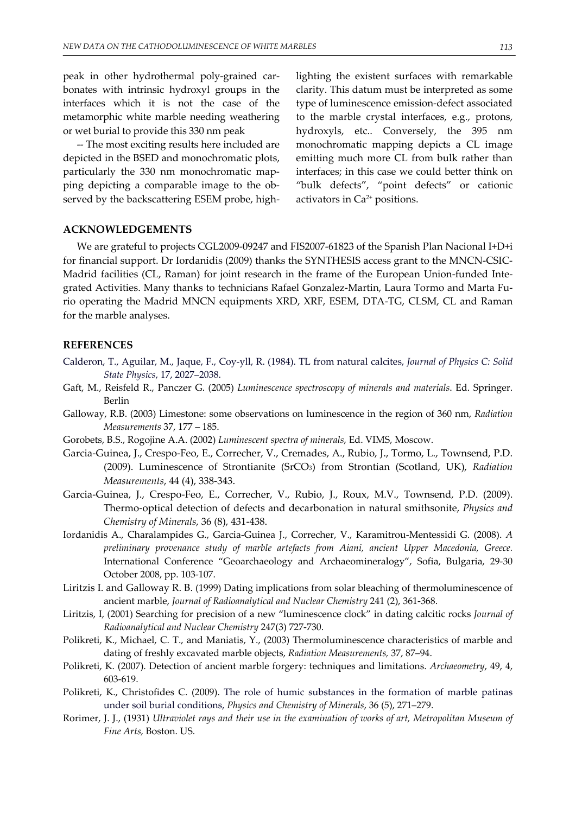peak in other hydrothermal poly‐grained car‐ bonates with intrinsic hydroxyl groups in the interfaces which it is not the case of the metamorphic white marble needing weathering or wet burial to provide this 330 nm peak

‐‐ The most exciting results here included are depicted in the BSED and monochromatic plots, particularly the 330 nm monochromatic map‐ ping depicting a comparable image to the ob‐ served by the backscattering ESEM probe, high‐ lighting the existent surfaces with remarkable clarity. This datum must be interpreted as some type of luminescence emission‐defect associated to the marble crystal interfaces, e.g., protons, hydroxyls, etc.. Conversely, the 395 nm monochromatic mapping depicts a CL image emitting much more CL from bulk rather than interfaces; in this case we could better think on "bulk defects", "point defects" or cationic activators in Ca2+ positions.

## **ACKNOWLEDGEMENTS**

We are grateful to projects CGL2009‐09247 and FIS2007‐61823 of the Spanish Plan Nacional I+D+i for financial support. Dr Iordanidis (2009) thanks the SYNTHESIS access grant to the MNCN‐CSIC‐ Madrid facilities (CL, Raman) for joint research in the frame of the European Union-funded Integrated Activities. Many thanks to technicians Rafael Gonzalez‐Martin, Laura Tormo and Marta Fu‐ rio operating the Madrid MNCN equipments XRD, XRF, ESEM, DTA‐TG, CLSM, CL and Raman for the marble analyses.

## **REFERENCES**

- Calderon, T., Aguilar, M., Jaque, F., Coy‐yll, R. (1984). TL from natural calcites, *Journal of Physics C: Solid State Physics*, 17, 2027–2038.
- Gaft, M., Reisfeld R., Panczer G. (2005) *Luminescence spectroscopy of minerals and materials*. Ed. Springer. Berlin
- Galloway, R.B. (2003) Limestone: some observations on luminescence in the region of 360 nm, *Radiation Measurements* 37, 177 – 185.
- Gorobets, B.S., Rogojine A.A. (2002) *Luminescent spectra of minerals*, Ed. VIMS, Moscow.
- Garcia‐Guinea, J., Crespo‐Feo, E., Correcher, V., Cremades, A., Rubio, J., Tormo, L., Townsend, P.D. (2009). Luminescence of Strontianite (SrCO3) from Strontian (Scotland, UK), *Radiation Measurements*, 44 (4), 338‐343.
- Garcia‐Guinea, J., Crespo‐Feo, E., Correcher, V., Rubio, J., Roux, M.V., Townsend, P.D. (2009). Thermo‐optical detection of defects and decarbonation in natural smithsonite, *Physics and Chemistry of Minerals*, 36 (8), 431‐438.
- Iordanidis A., Charalampides G., Garcia‐Guinea J., Correcher, V., Karamitrou‐Mentessidi G. (2008). *A preliminary provenance study of marble artеfacts from Aiani, ancient Upper Macedonia, Greece.* International Conference "Geoarchaeology and Archaeomineralogy", Sofia, Bulgaria, 29‐30 October 2008, pp. 103‐107.
- Liritzis I. and Galloway R. B. (1999) Dating implications from solar bleaching of thermoluminescence of ancient marble, *Journal of Radioanalytical and Nuclear Chemistry* 241 (2), 361‐368.
- Liritzis, I, (2001) Searching for precision of a new "luminescence clock" in dating calcitic rocks *Journal of Radioanalytical and Nuclear Chemistry* 247(3) 727‐730.
- Polikreti, K., Michael, C. T., and Maniatis, Y., (2003) Thermoluminescence characteristics of marble and dating of freshly excavated marble objects, *Radiation Measurements,* 37, 87–94.
- Polikreti, K. (2007). Detection of ancient marble forgery: techniques and limitations. *Archaeometry*, 49, 4, 603‐619.
- Polikreti, K., Christofides C. (2009). The role of humic substances in the formation of marble patinas under soil burial conditions, *Physics and Chemistry of Minerals*, 36 (5), 271–279.
- Rorimer, J. J., (1931) *Ultraviolet rays and their use in the examination of works of art, Metropolitan Museum of Fine Arts,* Boston. US.